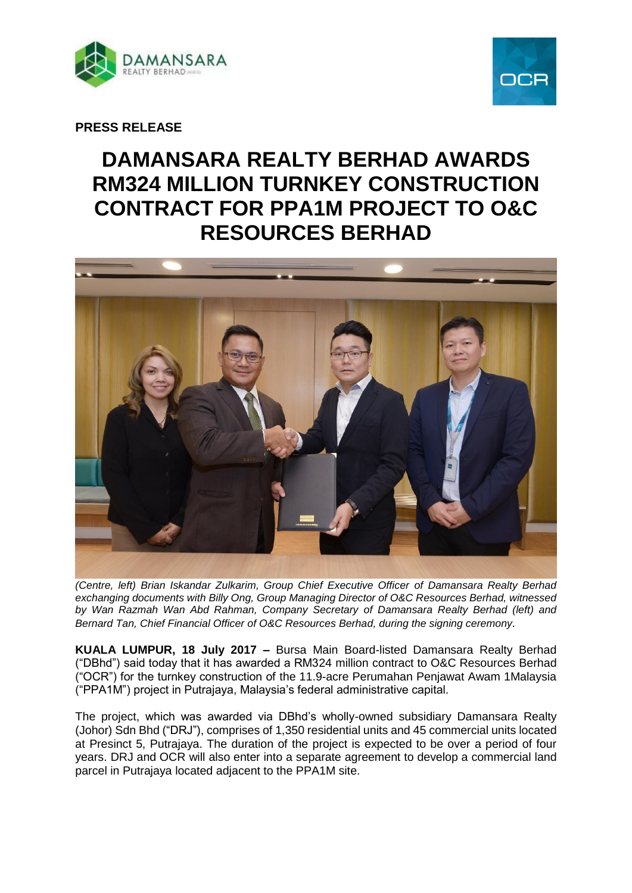



**PRESS RELEASE**

# **DAMANSARA REALTY BERHAD AWARDS RM324 MILLION TURNKEY CONSTRUCTION CONTRACT FOR PPA1M PROJECT TO O&C RESOURCES BERHAD**



*(Centre, left) Brian Iskandar Zulkarim, Group Chief Executive Officer of Damansara Realty Berhad exchanging documents with Billy Ong, Group Managing Director of O&C Resources Berhad, witnessed by Wan Razmah Wan Abd Rahman, Company Secretary of Damansara Realty Berhad (left) and Bernard Tan, Chief Financial Officer of O&C Resources Berhad, during the signing ceremony.* 

**KUALA LUMPUR, 18 July 2017 –** Bursa Main Board-listed Damansara Realty Berhad ("DBhd") said today that it has awarded a RM324 million contract to O&C Resources Berhad ("OCR") for the turnkey construction of the 11.9-acre Perumahan Penjawat Awam 1Malaysia ("PPA1M") project in Putrajaya, Malaysia's federal administrative capital.

The project, which was awarded via DBhd's wholly-owned subsidiary Damansara Realty (Johor) Sdn Bhd ("DRJ"), comprises of 1,350 residential units and 45 commercial units located at Presinct 5, Putrajaya. The duration of the project is expected to be over a period of four years. DRJ and OCR will also enter into a separate agreement to develop a commercial land parcel in Putrajaya located adjacent to the PPA1M site.